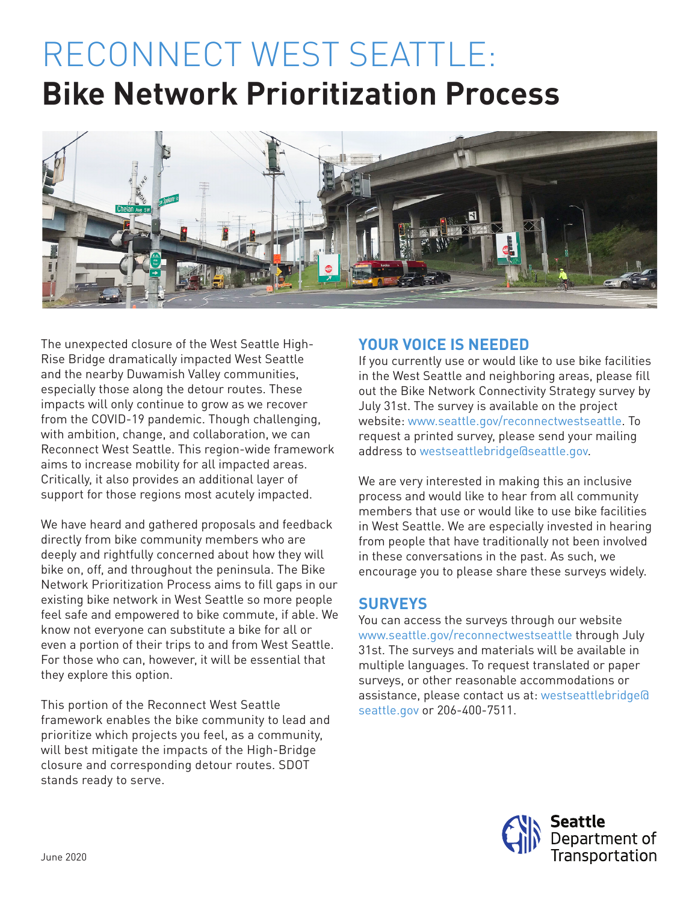# RECONNECT WEST SEATTLE: **Bike Network Prioritization Process**



The unexpected closure of the West Seattle High-Rise Bridge dramatically impacted West Seattle and the nearby Duwamish Valley communities, especially those along the detour routes. These impacts will only continue to grow as we recover from the COVID-19 pandemic. Though challenging, with ambition, change, and collaboration, we can Reconnect West Seattle. This region-wide framework aims to increase mobility for all impacted areas. Critically, it also provides an additional layer of support for those regions most acutely impacted.

We have heard and gathered proposals and feedback directly from bike community members who are deeply and rightfully concerned about how they will bike on, off, and throughout the peninsula. The Bike Network Prioritization Process aims to fill gaps in our existing bike network in West Seattle so more people feel safe and empowered to bike commute, if able. We know not everyone can substitute a bike for all or even a portion of their trips to and from West Seattle. For those who can, however, it will be essential that they explore this option.

This portion of the Reconnect West Seattle framework enables the bike community to lead and prioritize which projects you feel, as a community, will best mitigate the impacts of the High-Bridge closure and corresponding detour routes. SDOT stands ready to serve.

## **YOUR VOICE IS NEEDED**

If you currently use or would like to use bike facilities in the West Seattle and neighboring areas, please fill out the Bike Network Connectivity Strategy survey by July 31st. The survey is available on the project website: www.seattle.gov/reconnectwestseattle. To request a printed survey, please send your mailing address to westseattlebridge@seattle.gov.

We are very interested in making this an inclusive process and would like to hear from all community members that use or would like to use bike facilities in West Seattle. We are especially invested in hearing from people that have traditionally not been involved in these conversations in the past. As such, we encourage you to please share these surveys widely.

# **SURVEYS**

You can access the surveys through our website www.seattle.gov/reconnectwestseattle through July 31st. The surveys and materials will be available in multiple languages. To request translated or paper surveys, or other reasonable accommodations or assistance, please contact us at: westseattlebridge@ seattle.gov or 206-400-7511.

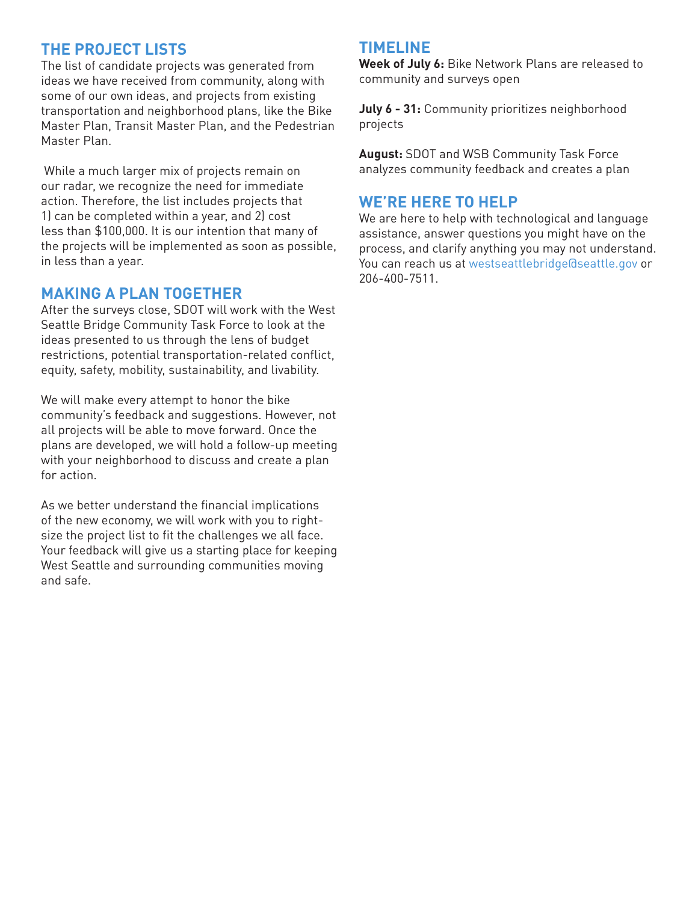## **THE PROJECT LISTS**

The list of candidate projects was generated from ideas we have received from community, along with some of our own ideas, and projects from existing transportation and neighborhood plans, like the Bike Master Plan, Transit Master Plan, and the Pedestrian Master Plan.

While a much larger mix of projects remain on our radar, we recognize the need for immediate action. Therefore, the list includes projects that 1) can be completed within a year, and 2) cost less than \$100,000. It is our intention that many of the projects will be implemented as soon as possible, in less than a year.

#### **MAKING A PLAN TOGETHER**

After the surveys close, SDOT will work with the West Seattle Bridge Community Task Force to look at the ideas presented to us through the lens of budget restrictions, potential transportation-related conflict, equity, safety, mobility, sustainability, and livability.

We will make every attempt to honor the bike community's feedback and suggestions. However, not all projects will be able to move forward. Once the plans are developed, we will hold a follow-up meeting with your neighborhood to discuss and create a plan for action.

As we better understand the financial implications of the new economy, we will work with you to rightsize the project list to fit the challenges we all face. Your feedback will give us a starting place for keeping West Seattle and surrounding communities moving and safe.

#### **TIMELINE**

**Week of July 6:** Bike Network Plans are released to community and surveys open

**July 6 - 31:** Community prioritizes neighborhood projects

**August:** SDOT and WSB Community Task Force analyzes community feedback and creates a plan

### **WE'RE HERE TO HELP**

We are here to help with technological and language assistance, answer questions you might have on the process, and clarify anything you may not understand. You can reach us at westseattlebridge@seattle.gov or 206-400-7511.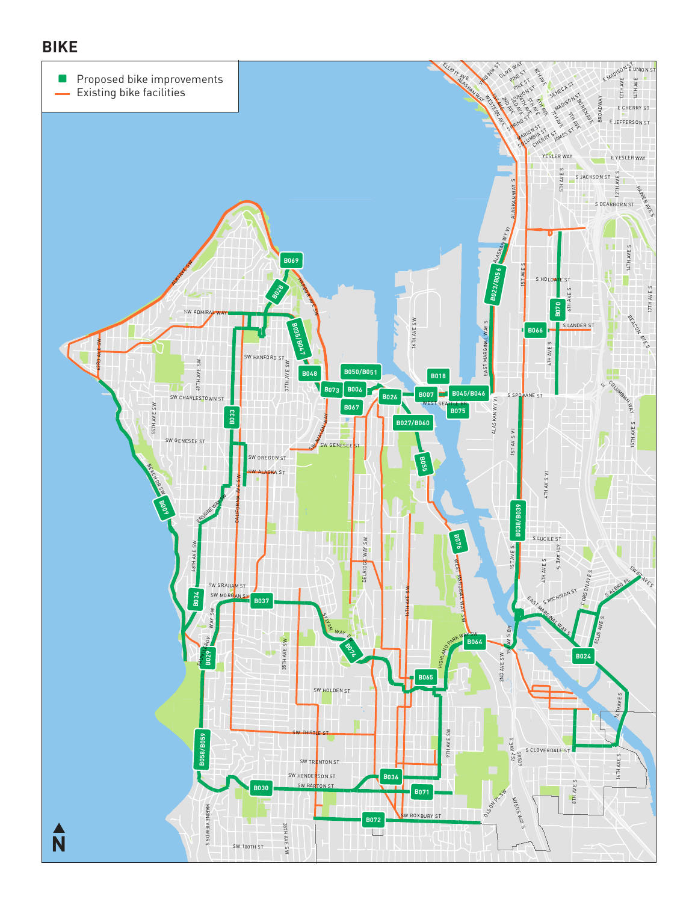## **BIKE**

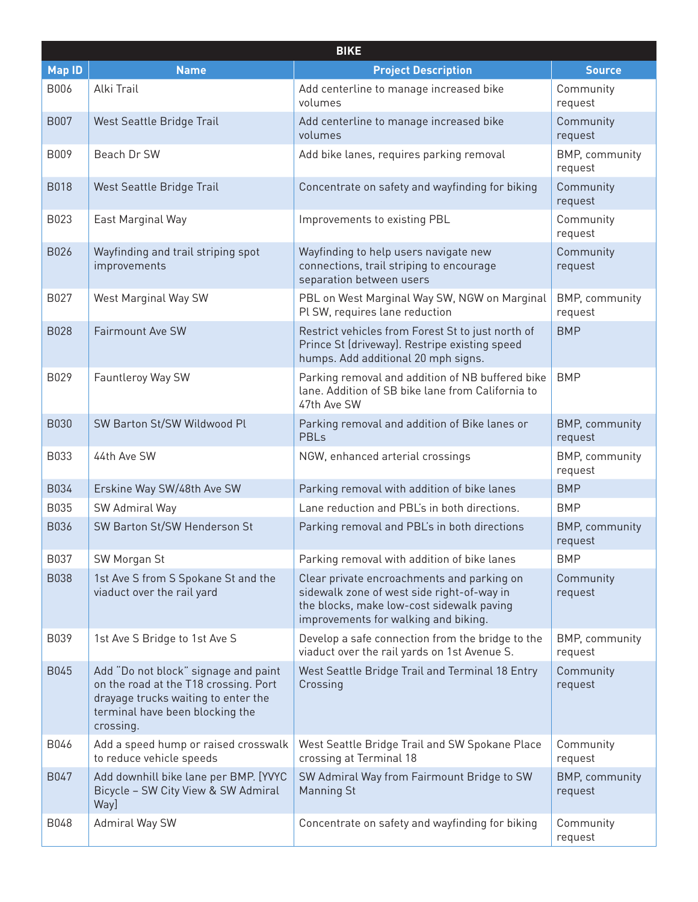|               | <b>BIKE</b>                                                                                                                                                          |                                                                                                                                                                               |                                  |  |  |
|---------------|----------------------------------------------------------------------------------------------------------------------------------------------------------------------|-------------------------------------------------------------------------------------------------------------------------------------------------------------------------------|----------------------------------|--|--|
| <b>Map ID</b> | <b>Name</b>                                                                                                                                                          | <b>Project Description</b>                                                                                                                                                    | <b>Source</b>                    |  |  |
| B006          | Alki Trail                                                                                                                                                           | Add centerline to manage increased bike<br>volumes                                                                                                                            | Community<br>request             |  |  |
| <b>B007</b>   | West Seattle Bridge Trail                                                                                                                                            | Add centerline to manage increased bike<br>volumes                                                                                                                            | Community<br>request             |  |  |
| B009          | Beach Dr SW                                                                                                                                                          | Add bike lanes, requires parking removal                                                                                                                                      | BMP, community<br>request        |  |  |
| <b>B018</b>   | West Seattle Bridge Trail                                                                                                                                            | Concentrate on safety and wayfinding for biking                                                                                                                               | Community<br>request             |  |  |
| B023          | East Marginal Way                                                                                                                                                    | Improvements to existing PBL                                                                                                                                                  | Community<br>request             |  |  |
| B026          | Wayfinding and trail striping spot<br>improvements                                                                                                                   | Wayfinding to help users navigate new<br>connections, trail striping to encourage<br>separation between users                                                                 | Community<br>request             |  |  |
| B027          | West Marginal Way SW                                                                                                                                                 | PBL on West Marginal Way SW, NGW on Marginal<br>Pl SW, requires lane reduction                                                                                                | BMP, community<br>request        |  |  |
| <b>B028</b>   | Fairmount Ave SW                                                                                                                                                     | Restrict vehicles from Forest St to just north of<br>Prince St (driveway). Restripe existing speed<br>humps. Add additional 20 mph signs.                                     | <b>BMP</b>                       |  |  |
| B029          | Fauntleroy Way SW                                                                                                                                                    | Parking removal and addition of NB buffered bike<br>lane. Addition of SB bike lane from California to<br>47th Ave SW                                                          | <b>BMP</b>                       |  |  |
| <b>B030</b>   | SW Barton St/SW Wildwood Pl                                                                                                                                          | Parking removal and addition of Bike lanes or<br><b>PBLs</b>                                                                                                                  | BMP, community<br>request        |  |  |
| B033          | 44th Ave SW                                                                                                                                                          | NGW, enhanced arterial crossings                                                                                                                                              | BMP, community<br>request        |  |  |
| B034          | Erskine Way SW/48th Ave SW                                                                                                                                           | Parking removal with addition of bike lanes                                                                                                                                   | <b>BMP</b>                       |  |  |
| B035          | SW Admiral Way                                                                                                                                                       | Lane reduction and PBL's in both directions.                                                                                                                                  | <b>BMP</b>                       |  |  |
| B036          | SW Barton St/SW Henderson St                                                                                                                                         | Parking removal and PBL's in both directions                                                                                                                                  | <b>BMP, community</b><br>request |  |  |
| B037          | SW Morgan St                                                                                                                                                         | Parking removal with addition of bike lanes                                                                                                                                   | <b>BMP</b>                       |  |  |
| <b>B038</b>   | 1st Ave S from S Spokane St and the<br>viaduct over the rail yard                                                                                                    | Clear private encroachments and parking on<br>sidewalk zone of west side right-of-way in<br>the blocks, make low-cost sidewalk paving<br>improvements for walking and biking. | Community<br>request             |  |  |
| B039          | 1st Ave S Bridge to 1st Ave S                                                                                                                                        | Develop a safe connection from the bridge to the<br>viaduct over the rail yards on 1st Avenue S.                                                                              | BMP, community<br>request        |  |  |
| B045          | Add "Do not block" signage and paint<br>on the road at the T18 crossing. Port<br>drayage trucks waiting to enter the<br>terminal have been blocking the<br>crossing. | West Seattle Bridge Trail and Terminal 18 Entry<br>Crossing                                                                                                                   | Community<br>request             |  |  |
| B046          | Add a speed hump or raised crosswalk<br>to reduce vehicle speeds                                                                                                     | West Seattle Bridge Trail and SW Spokane Place<br>crossing at Terminal 18                                                                                                     | Community<br>request             |  |  |
| B047          | Add downhill bike lane per BMP. [YVYC<br>Bicycle - SW City View & SW Admiral<br>Way]                                                                                 | SW Admiral Way from Fairmount Bridge to SW<br><b>Manning St</b>                                                                                                               | <b>BMP, community</b><br>request |  |  |
| <b>B048</b>   | Admiral Way SW                                                                                                                                                       | Concentrate on safety and wayfinding for biking                                                                                                                               | Community<br>request             |  |  |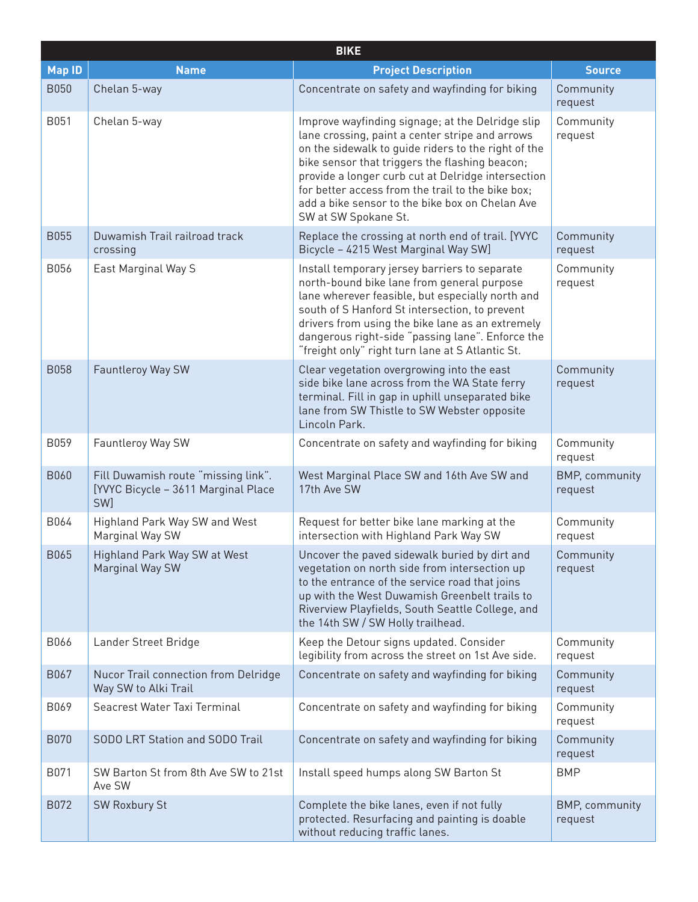|               | <b>BIKE</b>                                                                       |                                                                                                                                                                                                                                                                                                                                                                                                    |                                  |  |  |
|---------------|-----------------------------------------------------------------------------------|----------------------------------------------------------------------------------------------------------------------------------------------------------------------------------------------------------------------------------------------------------------------------------------------------------------------------------------------------------------------------------------------------|----------------------------------|--|--|
| <b>Map ID</b> | <b>Name</b>                                                                       | <b>Project Description</b>                                                                                                                                                                                                                                                                                                                                                                         | <b>Source</b>                    |  |  |
| <b>B050</b>   | Chelan 5-way                                                                      | Concentrate on safety and wayfinding for biking                                                                                                                                                                                                                                                                                                                                                    | Community<br>request             |  |  |
| B051          | Chelan 5-way                                                                      | Improve wayfinding signage; at the Delridge slip<br>lane crossing, paint a center stripe and arrows<br>on the sidewalk to guide riders to the right of the<br>bike sensor that triggers the flashing beacon;<br>provide a longer curb cut at Delridge intersection<br>for better access from the trail to the bike box;<br>add a bike sensor to the bike box on Chelan Ave<br>SW at SW Spokane St. | Community<br>request             |  |  |
| <b>B055</b>   | Duwamish Trail railroad track<br>crossing                                         | Replace the crossing at north end of trail. [YVYC<br>Bicycle - 4215 West Marginal Way SW]                                                                                                                                                                                                                                                                                                          | Community<br>request             |  |  |
| B056          | East Marginal Way S                                                               | Install temporary jersey barriers to separate<br>north-bound bike lane from general purpose<br>lane wherever feasible, but especially north and<br>south of S Hanford St intersection, to prevent<br>drivers from using the bike lane as an extremely<br>dangerous right-side "passing lane". Enforce the<br>"freight only" right turn lane at S Atlantic St.                                      | Community<br>request             |  |  |
| <b>B058</b>   | Fauntleroy Way SW                                                                 | Clear vegetation overgrowing into the east<br>side bike lane across from the WA State ferry<br>terminal. Fill in gap in uphill unseparated bike<br>lane from SW Thistle to SW Webster opposite<br>Lincoln Park.                                                                                                                                                                                    | Community<br>request             |  |  |
| B059          | Fauntleroy Way SW                                                                 | Concentrate on safety and wayfinding for biking                                                                                                                                                                                                                                                                                                                                                    | Community<br>request             |  |  |
| <b>B060</b>   | Fill Duwamish route "missing link".<br>[YVYC Bicycle - 3611 Marginal Place<br>SW] | West Marginal Place SW and 16th Ave SW and<br>17th Ave SW                                                                                                                                                                                                                                                                                                                                          | <b>BMP, community</b><br>request |  |  |
| B064          | Highland Park Way SW and West<br>Marginal Way SW                                  | Request for better bike lane marking at the<br>intersection with Highland Park Way SW                                                                                                                                                                                                                                                                                                              | Community<br>request             |  |  |
| B065          | Highland Park Way SW at West<br>Marginal Way SW                                   | Uncover the paved sidewalk buried by dirt and<br>vegetation on north side from intersection up<br>to the entrance of the service road that joins<br>up with the West Duwamish Greenbelt trails to<br>Riverview Playfields, South Seattle College, and<br>the 14th SW / SW Holly trailhead.                                                                                                         | Community<br>request             |  |  |
| B066          | Lander Street Bridge                                                              | Keep the Detour signs updated. Consider<br>legibility from across the street on 1st Ave side.                                                                                                                                                                                                                                                                                                      | Community<br>request             |  |  |
| B067          | Nucor Trail connection from Delridge<br>Way SW to Alki Trail                      | Concentrate on safety and wayfinding for biking                                                                                                                                                                                                                                                                                                                                                    | Community<br>request             |  |  |
| B069          | Seacrest Water Taxi Terminal                                                      | Concentrate on safety and wayfinding for biking                                                                                                                                                                                                                                                                                                                                                    | Community<br>request             |  |  |
| <b>B070</b>   | SODO LRT Station and SODO Trail                                                   | Concentrate on safety and wayfinding for biking                                                                                                                                                                                                                                                                                                                                                    | Community<br>request             |  |  |
| B071          | SW Barton St from 8th Ave SW to 21st<br>Ave SW                                    | Install speed humps along SW Barton St                                                                                                                                                                                                                                                                                                                                                             | <b>BMP</b>                       |  |  |
| B072          | <b>SW Roxbury St</b>                                                              | Complete the bike lanes, even if not fully<br>protected. Resurfacing and painting is doable<br>without reducing traffic lanes.                                                                                                                                                                                                                                                                     | BMP, community<br>request        |  |  |